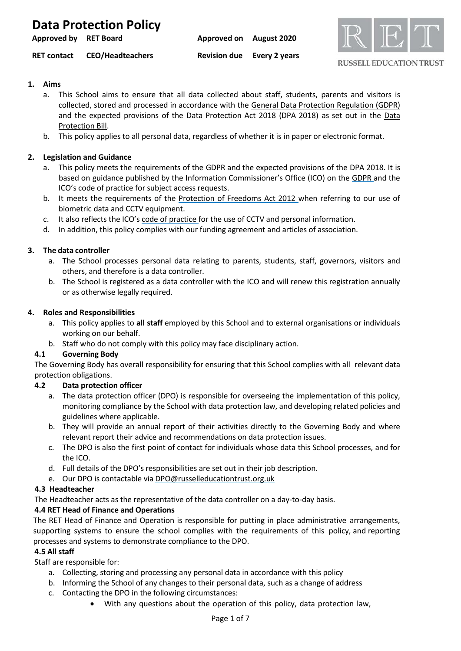| Approved by RET Board |                         | Approved on August 2020 |                                   |
|-----------------------|-------------------------|-------------------------|-----------------------------------|
| <b>RET contact</b>    | <b>CEO/Headteachers</b> |                         | <b>Revision due</b> Every 2 years |



## **1. Aims**

- a. This School aims to ensure that all data collected about staff, students, parents and visitors is collected, stored and processed in accordance with the General Data Protection [Regulation](http://data.consilium.europa.eu/doc/document/ST-5419-2016-INIT/en/pdf) (GDPR) and the expected provisions of the Data Protection Act 2018 (DPA 2018) as set out in the [Data](https://publications.parliament.uk/pa/bills/cbill/2017-2019/0153/18153.pdf) [Protection Bill.](https://publications.parliament.uk/pa/bills/cbill/2017-2019/0153/18153.pdf)
- b. This policy applies to all personal data, regardless of whether it is in paper or electronic format.

### **2. Legislation and Guidance**

- a. This policy meets the requirements of the GDPR and the expected provisions of the DPA 2018. It is based on guidance published by the Information Commissioner's Office (ICO) on the [GDPR](https://ico.org.uk/for-organisations/guide-to-the-general-data-protection-regulation-gdpr/) and the ICO's code of practice for subject access [requests.](https://ico.org.uk/media/for-organisations/documents/2014223/subject-access-code-of-practice.pdf)
- b. It meets the requirements of the [Protection](https://www.legislation.gov.uk/ukpga/2012/9/part/1/chapter/2) of Freedoms Act 2012 when referring to our use of biometric data and CCTV equipment.
- c. It also reflects the ICO's code of [practice](https://ico.org.uk/media/for-organisations/documents/1542/cctv-code-of-practice.pdf) for the use of CCTV and personal information.
- d. In addition, this policy complies with our funding agreement and articles of association.

### **3. The data controller**

- a. The School processes personal data relating to parents, students, staff, governors, visitors and others, and therefore is a data controller.
- b. The School is registered as a data controller with the ICO and will renew this registration annually or as otherwise legally required.

#### **4. Roles and Responsibilities**

- a. This policy applies to **all staff** employed by this School and to external organisations or individuals working on our behalf.
- b. Staff who do not comply with this policy may face disciplinary action.

#### **4.1 Governing Body**

The Governing Body has overall responsibility for ensuring that this School complies with all relevant data protection obligations.

#### **4.2 Data protection officer**

- a. The data protection officer (DPO) is responsible for overseeing the implementation of this policy, monitoring compliance by the School with data protection law, and developing related policies and guidelines where applicable.
- b. They will provide an annual report of their activities directly to the Governing Body and where relevant report their advice and recommendations on data protection issues.
- c. The DPO is also the first point of contact for individuals whose data this School processes, and for the ICO.
- d. Full details of the DPO's responsibilities are set out in their job description.
- e. Our DPO is contactable via [DPO@russelleducationtrust.org.uk](mailto:DPO@russelleducationtrust.org.uk)

#### **4.3 Headteacher**

The Headteacher acts as the representative of the data controller on a day-to-day basis.

## **4.4 RET Head of Finance and Operations**

The RET Head of Finance and Operation is responsible for putting in place administrative arrangements, supporting systems to ensure the school complies with the requirements of this policy, and reporting processes and systems to demonstrate compliance to the DPO.

#### **4.5 All staff**

Staff are responsible for:

- a. Collecting, storing and processing any personal data in accordance with this policy
- b. Informing the School of any changes to their personal data, such as a change of address
- c. Contacting the DPO in the following circumstances:
	- With any questions about the operation of this policy, data protection law,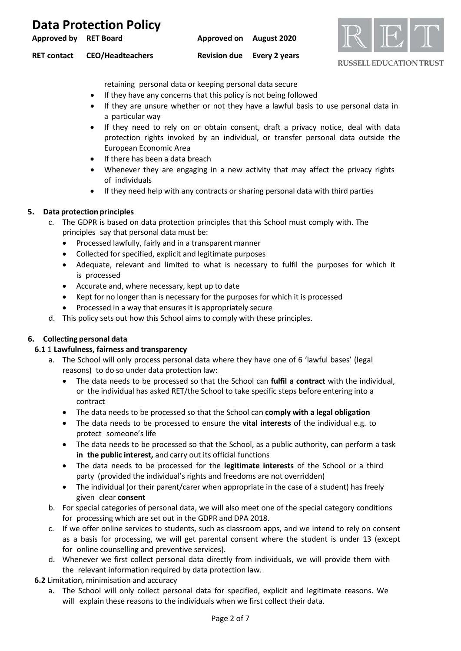| Approved by RET Board |                         | Approved on August 2020           |  |
|-----------------------|-------------------------|-----------------------------------|--|
| <b>RET contact</b>    | <b>CEO/Headteachers</b> | <b>Revision due</b> Every 2 years |  |



#### **RUSSELL EDUCATION TRUST**

retaining personal data or keeping personal data secure

- If they have any concerns that this policy is not being followed
- If they are unsure whether or not they have a lawful basis to use personal data in a particular way
- If they need to rely on or obtain consent, draft a privacy notice, deal with data protection rights invoked by an individual, or transfer personal data outside the European Economic Area
- If there has been a data breach
- Whenever they are engaging in a new activity that may affect the privacy rights of individuals
- If they need help with any contracts or sharing personal data with third parties

### **5. Data protection principles**

- c. The GDPR is based on data protection principles that this School must comply with. The principles say that personal data must be:
	- Processed lawfully, fairly and in a transparent manner
	- Collected for specified, explicit and legitimate purposes
	- Adequate, relevant and limited to what is necessary to fulfil the purposes for which it is processed
	- Accurate and, where necessary, kept up to date
	- Kept for no longer than is necessary for the purposes for which it is processed
	- Processed in a way that ensures it is appropriately secure
- d. This policy sets out how this School aims to comply with these principles.

## **6. Collecting personal data**

#### **6.1** 1 **Lawfulness, fairness and transparency**

- a. The School will only process personal data where they have one of 6 'lawful bases' (legal reasons) to do so under data protection law:
	- The data needs to be processed so that the School can **fulfil a contract** with the individual, or the individual has asked RET/the School to take specific steps before entering into a contract
	- The data needs to be processed so that the School can **comply with a legal obligation**
	- The data needs to be processed to ensure the **vital interests** of the individual e.g. to protect someone's life
	- The data needs to be processed so that the School, as a public authority, can perform a task **in the public interest,** and carry out its official functions
	- The data needs to be processed for the **legitimate interests** of the School or a third party (provided the individual's rights and freedoms are not overridden)
	- The individual (or their parent/carer when appropriate in the case of a student) has freely given clear **consent**
- b. For special categories of personal data, we will also meet one of the special category conditions for processing which are set out in the GDPR and DPA 2018.
- c. If we offer online services to students, such as classroom apps, and we intend to rely on consent as a basis for processing, we will get parental consent where the student is under 13 (except for online counselling and preventive services).
- d. Whenever we first collect personal data directly from individuals, we will provide them with the relevant information required by data protection law.
- **6.2** Limitation, minimisation and accuracy
	- a. The School will only collect personal data for specified, explicit and legitimate reasons. We will explain these reasons to the individuals when we first collect their data.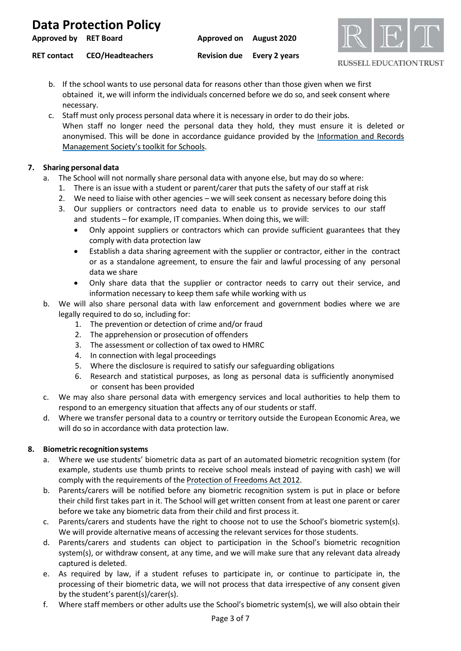| <b>Approved by RET Board</b> |                         | Approved on August 2020           |  |
|------------------------------|-------------------------|-----------------------------------|--|
| <b>RET contact</b>           | <b>CEO/Headteachers</b> | <b>Revision due</b> Every 2 years |  |

- b. If the school wants to use personal data for reasons other than those given when we first obtained it, we will inform the individuals concerned before we do so, and seek consent where necessary.
- c. Staff must only process personal data where it is necessary in order to do their jobs. When staff no longer need the personal data they hold, they must ensure it is deleted or anonymised. This will be done in accordance guidance provided by the [Information](http://irms.org.uk/?page=schoolstoolkit&terms=%22toolkit%2Band%2Bschools%22) and Records [Management Society's](http://irms.org.uk/?page=schoolstoolkit&terms=%22toolkit%2Band%2Bschools%22) toolkit for Schools.

**RUSSELL EDUCATION TRUST** 

## **7. Sharing personal data**

- The School will not normally share personal data with anyone else, but may do so where:
	- 1. There is an issue with a student or parent/carer that puts the safety of our staff at risk
	- 2. We need to liaise with other agencies we will seek consent as necessary before doing this
	- 3. Our suppliers or contractors need data to enable us to provide services to our staff and students – for example, IT companies. When doing this, we will:
		- Only appoint suppliers or contractors which can provide sufficient guarantees that they comply with data protection law
		- Establish a data sharing agreement with the supplier or contractor, either in the contract or as a standalone agreement, to ensure the fair and lawful processing of any personal data we share
		- Only share data that the supplier or contractor needs to carry out their service, and information necessary to keep them safe while working with us
- b. We will also share personal data with law enforcement and government bodies where we are legally required to do so, including for:
	- 1. The prevention or detection of crime and/or fraud
	- 2. The apprehension or prosecution of offenders
	- 3. The assessment or collection of tax owed to HMRC
	- 4. In connection with legal proceedings
	- 5. Where the disclosure is required to satisfy our safeguarding obligations
	- 6. Research and statistical purposes, as long as personal data is sufficiently anonymised or consent has been provided
- c. We may also share personal data with emergency services and local authorities to help them to respond to an emergency situation that affects any of our students or staff.
- d. Where we transfer personal data to a country or territory outside the European Economic Area, we will do so in accordance with data protection law.

## **8. Biometric recognitionsystems**

- a. Where we use students' biometric data as part of an automated biometric recognition system (for example, students use thumb prints to receive school meals instead of paying with cash) we will comply with the requirements of the Protection of [Freedoms Act](https://www.legislation.gov.uk/ukpga/2012/9/section/26) 2012.
- b. Parents/carers will be notified before any biometric recognition system is put in place or before their child first takes part in it. The School will get written consent from at least one parent or carer before we take any biometric data from their child and first process it.
- c. Parents/carers and students have the right to choose not to use the School's biometric system(s). We will provide alternative means of accessing the relevant services for those students.
- d. Parents/carers and students can object to participation in the School's biometric recognition system(s), or withdraw consent, at any time, and we will make sure that any relevant data already captured is deleted.
- e. As required by law, if a student refuses to participate in, or continue to participate in, the processing of their biometric data, we will not process that data irrespective of any consent given by the student's parent(s)/carer(s).
- f. Where staff members or other adults use the School's biometric system(s), we will also obtain their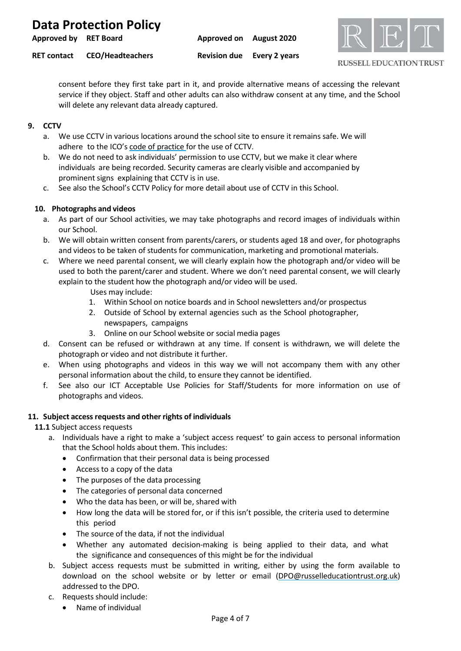| <b>Approved by RET Board</b> |                         | Approved on August 2020 |                                   |  |
|------------------------------|-------------------------|-------------------------|-----------------------------------|--|
| <b>RET contact</b>           | <b>CEO/Headteachers</b> |                         | <b>Revision due</b> Every 2 years |  |



**RUSSELL EDUCATION TRUST** 

consent before they first take part in it, and provide alternative means of accessing the relevant service if they object. Staff and other adults can also withdraw consent at any time, and the School will delete any relevant data already captured.

## **9. CCTV**

- a. We use CCTV in various locations around the school site to ensure it remains safe. We will adhere to the ICO's code of [practice](https://ico.org.uk/media/for-organisations/documents/1542/cctv-code-of-practice.pdf) for the use of CCTV.
- b. We do not need to ask individuals' permission to use CCTV, but we make it clear where individuals are being recorded. Security cameras are clearly visible and accompanied by prominent signs explaining that CCTV is in use.
- c. See also the School's CCTV Policy for more detail about use of CCTV in this School.

## **10. Photographs and videos**

- a. As part of our School activities, we may take photographs and record images of individuals within our School.
- b. We will obtain written consent from parents/carers, or students aged 18 and over, for photographs and videos to be taken of students for communication, marketing and promotional materials.
- c. Where we need parental consent, we will clearly explain how the photograph and/or video will be used to both the parent/carer and student. Where we don't need parental consent, we will clearly explain to the student how the photograph and/or video will be used.
	- Uses may include:
	- 1. Within School on notice boards and in School newsletters and/or prospectus
	- 2. Outside of School by external agencies such as the School photographer, newspapers, campaigns
	- 3. Online on our School website or social media pages
- d. Consent can be refused or withdrawn at any time. If consent is withdrawn, we will delete the photograph or video and not distribute it further.
- e. When using photographs and videos in this way we will not accompany them with any other personal information about the child, to ensure they cannot be identified.
- f. See also our ICT Acceptable Use Policies for Staff/Students for more information on use of photographs and videos.

## **11. Subject accessrequests and other rights of individuals**

**11.1** Subject access requests

- a. Individuals have a right to make a 'subject access request' to gain access to personal information that the School holds about them. This includes:
	- Confirmation that their personal data is being processed
	- Access to a copy of the data
	- The purposes of the data processing
	- The categories of personal data concerned
	- Who the data has been, or will be, shared with
	- How long the data will be stored for, or if this isn't possible, the criteria used to determine this period
	- The source of the data, if not the individual
	- Whether any automated decision-making is being applied to their data, and what the significance and consequences of this might be for the individual
- b. Subject access requests must be submitted in writing, either by using the form available to download on the school website or by letter or email [\(DPO@russelleducationtrust.org.uk\)](mailto:DPO@russelleducationtrust.org.uk) addressed to the DPO.
- c. Requests should include:
	- Name of individual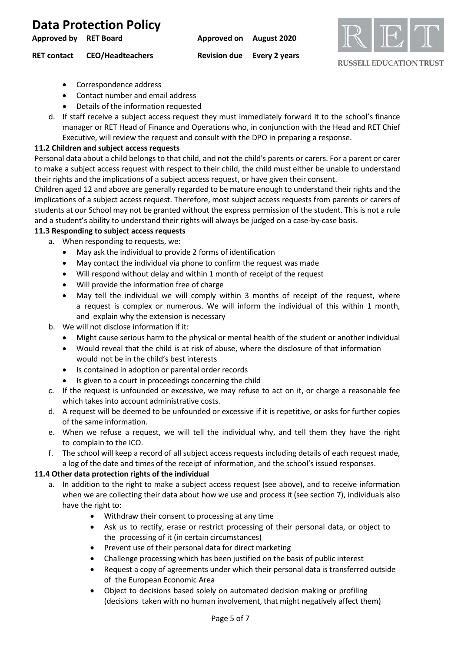**Approved by RET Board Approved on August 2020 RET contact CEO/Headteachers Revision due Every 2 years**



**RUSSELL EDUCATION TRUST** 

- Correspondence address
- Contact number and email address
- Details of the information requested
- d. If staff receive a subject access request they must immediately forward it to the school's finance manager or RET Head of Finance and Operations who, in conjunction with the Head and RET Chief Executive, will review the request and consult with the DPO in preparing a response.

#### **11.2 Children and subject access requests**

Personal data about a child belongs to that child, and not the child's parents or carers. For a parent or carer to make a subject access request with respect to their child, the child must either be unable to understand their rights and the implications of a subject access request, or have given their consent.

Children aged 12 and above are generally regarded to be mature enough to understand their rights and the implications of a subject access request. Therefore, most subject access requests from parents or carers of students at our School may not be granted without the express permission of the student. This is not a rule and a student's ability to understand their rights will always be judged on a case-by-case basis.

### **11.3 Responding to subject access requests**

a. When responding to requests, we:

- May ask the individual to provide 2 forms of identification
- May contact the individual via phone to confirm the request was made
- Will respond without delay and within 1 month of receipt of the request
- Will provide the information free of charge
- May tell the individual we will comply within 3 months of receipt of the request, where a request is complex or numerous. We will inform the individual of this within 1 month, and explain why the extension is necessary
- b. We will not disclose information if it:
	- Might cause serious harm to the physical or mental health of the student or another individual
	- Would reveal that the child is at risk of abuse, where the disclosure of that information would not be in the child's best interests
	- Is contained in adoption or parental order records
	- Is given to a court in proceedings concerning the child
- c. If the request is unfounded or excessive, we may refuse to act on it, or charge a reasonable fee which takes into account administrative costs.
- d. A request will be deemed to be unfounded or excessive if it is repetitive, or asks for further copies of the same information.
- e. When we refuse a request, we will tell the individual why, and tell them they have the right to complain to the ICO.
- f. The school will keep a record of all subject access requests including details of each request made, a log of the date and times of the receipt of information, and the school's issued responses.

#### **11.4 Other data protection rights of the individual**

- a. In addition to the right to make a subject access request (see above), and to receive information when we are collecting their data about how we use and process it (see section 7), individuals also have the right to:
	- Withdraw their consent to processing at any time
	- Ask us to rectify, erase or restrict processing of their personal data, or object to the processing of it (in certain circumstances)
	- Prevent use of their personal data for direct marketing
	- Challenge processing which has been justified on the basis of public interest
	- Request a copy of agreements under which their personal data is transferred outside of the European Economic Area
	- Object to decisions based solely on automated decision making or profiling (decisions taken with no human involvement, that might negatively affect them)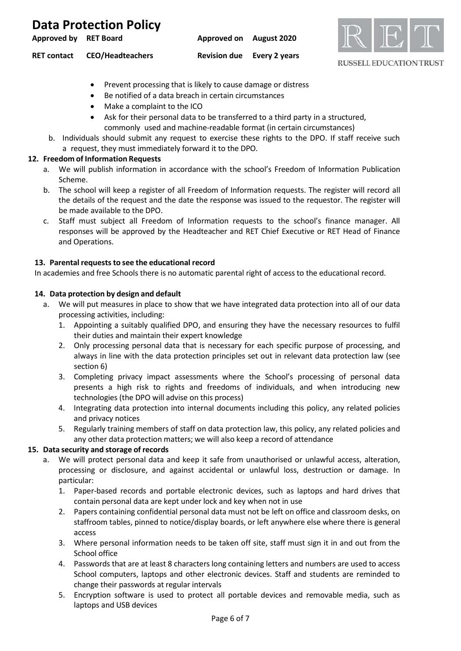| <b>Approved by RET Board</b> |                         | Approved on August 2020           |  |
|------------------------------|-------------------------|-----------------------------------|--|
| <b>RET contact</b>           | <b>CEO/Headteachers</b> | <b>Revision due</b> Every 2 years |  |



- Prevent processing that is likely to cause damage or distress
- Be notified of a data breach in certain circumstances
- Make a complaint to the ICO
- Ask for their personal data to be transferred to a third party in a structured, commonly used and machine-readable format (in certain circumstances)
- b. Individuals should submit any request to exercise these rights to the DPO. If staff receive such a request, they must immediately forward it to the DPO.

#### **12. Freedom of Information Requests**

- a. We will publish information in accordance with the school's Freedom of Information Publication Scheme.
- b. The school will keep a register of all Freedom of Information requests. The register will record all the details of the request and the date the response was issued to the requestor. The register will be made available to the DPO.
- c. Staff must subject all Freedom of Information requests to the school's finance manager. All responses will be approved by the Headteacher and RET Chief Executive or RET Head of Finance and Operations.

### 13. Parental requests to see the educational record

In academies and free Schools there is no automatic parental right of access to the educational record.

#### **14. Data protection by design and default**

- a. We will put measures in place to show that we have integrated data protection into all of our data processing activities, including:
	- 1. Appointing a suitably qualified DPO, and ensuring they have the necessary resources to fulfil their duties and maintain their expert knowledge
	- 2. Only processing personal data that is necessary for each specific purpose of processing, and always in line with the data protection principles set out in relevant data protection law (see section 6)
	- 3. Completing privacy impact assessments where the School's processing of personal data presents a high risk to rights and freedoms of individuals, and when introducing new technologies (the DPO will advise on this process)
	- 4. Integrating data protection into internal documents including this policy, any related policies and privacy notices
	- 5. Regularly training members of staff on data protection law, this policy, any related policies and any other data protection matters; we will also keep a record of attendance

#### **15. Data security and storage of records**

- a. We will protect personal data and keep it safe from unauthorised or unlawful access, alteration, processing or disclosure, and against accidental or unlawful loss, destruction or damage. In particular:
	- 1. Paper-based records and portable electronic devices, such as laptops and hard drives that contain personal data are kept under lock and key when not in use
	- 2. Papers containing confidential personal data must not be left on office and classroom desks, on staffroom tables, pinned to notice/display boards, or left anywhere else where there is general access
	- 3. Where personal information needs to be taken off site, staff must sign it in and out from the School office
	- 4. Passwords that are at least 8 characters long containing letters and numbers are used to access School computers, laptops and other electronic devices. Staff and students are reminded to change their passwords at regular intervals
	- 5. Encryption software is used to protect all portable devices and removable media, such as laptops and USB devices